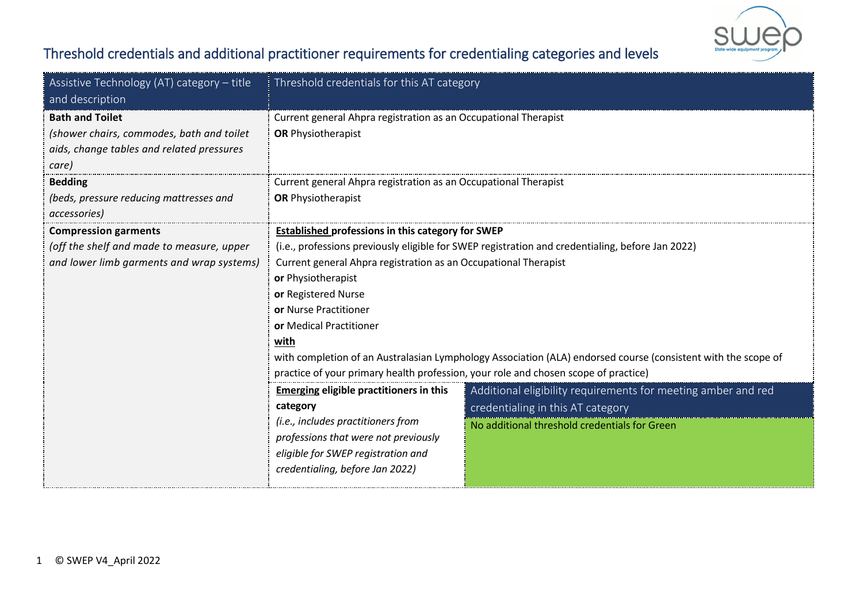

## Threshold credentials and additional practitioner requirements for credentialing categories and levels

| Assistive Technology (AT) category - title<br>and description                                                             | Threshold credentials for this AT category                                                                                                                                                                                                                                                                                                                                                                                                                                                                                                       |                                                                                                                                                     |  |
|---------------------------------------------------------------------------------------------------------------------------|--------------------------------------------------------------------------------------------------------------------------------------------------------------------------------------------------------------------------------------------------------------------------------------------------------------------------------------------------------------------------------------------------------------------------------------------------------------------------------------------------------------------------------------------------|-----------------------------------------------------------------------------------------------------------------------------------------------------|--|
| <b>Bath and Toilet</b><br>(shower chairs, commodes, bath and toilet<br>aids, change tables and related pressures<br>care) | Current general Ahpra registration as an Occupational Therapist<br><b>OR Physiotherapist</b>                                                                                                                                                                                                                                                                                                                                                                                                                                                     |                                                                                                                                                     |  |
| <b>Bedding</b><br>(beds, pressure reducing mattresses and<br>accessories)                                                 | Current general Ahpra registration as an Occupational Therapist<br><b>OR</b> Physiotherapist                                                                                                                                                                                                                                                                                                                                                                                                                                                     |                                                                                                                                                     |  |
| <b>Compression garments</b><br>(off the shelf and made to measure, upper<br>and lower limb garments and wrap systems)     | <b>Established professions in this category for SWEP</b><br>(i.e., professions previously eligible for SWEP registration and credentialing, before Jan 2022)<br>Current general Ahpra registration as an Occupational Therapist<br>or Physiotherapist<br>or Registered Nurse<br>or Nurse Practitioner<br>or Medical Practitioner<br>with<br>with completion of an Australasian Lymphology Association (ALA) endorsed course (consistent with the scope of<br>practice of your primary health profession, your role and chosen scope of practice) |                                                                                                                                                     |  |
|                                                                                                                           | <b>Emerging eligible practitioners in this</b><br>category<br>(i.e., includes practitioners from<br>professions that were not previously<br>eligible for SWEP registration and<br>credentialing, before Jan 2022)                                                                                                                                                                                                                                                                                                                                | Additional eligibility requirements for meeting amber and red<br>credentialing in this AT category<br>No additional threshold credentials for Green |  |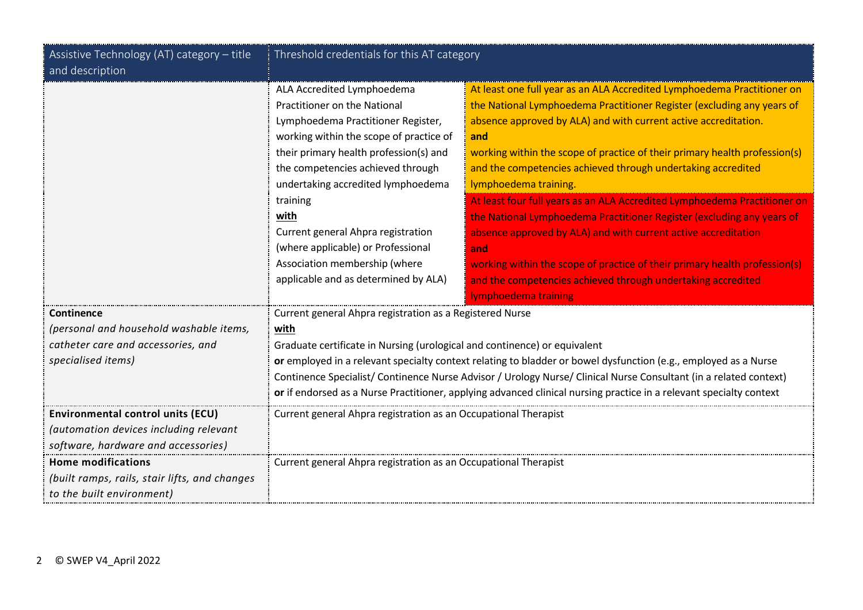| Assistive Technology (AT) category - title    | Threshold credentials for this AT category                                                                                                                                                                                                                                                                                                                                                                                                |                                                                                                                                                                                                                                                                                                                                                                                                                                                                                                                                                                                                                                                                                                                                                                                                          |
|-----------------------------------------------|-------------------------------------------------------------------------------------------------------------------------------------------------------------------------------------------------------------------------------------------------------------------------------------------------------------------------------------------------------------------------------------------------------------------------------------------|----------------------------------------------------------------------------------------------------------------------------------------------------------------------------------------------------------------------------------------------------------------------------------------------------------------------------------------------------------------------------------------------------------------------------------------------------------------------------------------------------------------------------------------------------------------------------------------------------------------------------------------------------------------------------------------------------------------------------------------------------------------------------------------------------------|
| and description                               |                                                                                                                                                                                                                                                                                                                                                                                                                                           |                                                                                                                                                                                                                                                                                                                                                                                                                                                                                                                                                                                                                                                                                                                                                                                                          |
|                                               | ALA Accredited Lymphoedema<br>Practitioner on the National<br>Lymphoedema Practitioner Register,<br>working within the scope of practice of<br>their primary health profession(s) and<br>the competencies achieved through<br>undertaking accredited lymphoedema<br>training<br>with<br>Current general Ahpra registration<br>(where applicable) or Professional<br>Association membership (where<br>applicable and as determined by ALA) | At least one full year as an ALA Accredited Lymphoedema Practitioner on<br>the National Lymphoedema Practitioner Register (excluding any years of<br>absence approved by ALA) and with current active accreditation.<br>and<br>working within the scope of practice of their primary health profession(s)<br>and the competencies achieved through undertaking accredited<br>lymphoedema training.<br>At least four full years as an ALA Accredited Lymphoedema Practitioner on<br>the National Lymphoedema Practitioner Register (excluding any years of<br>absence approved by ALA) and with current active accreditation<br>and<br>working within the scope of practice of their primary health profession(s)<br>and the competencies achieved through undertaking accredited<br>lymphoedema training |
| Continence                                    | Current general Ahpra registration as a Registered Nurse                                                                                                                                                                                                                                                                                                                                                                                  |                                                                                                                                                                                                                                                                                                                                                                                                                                                                                                                                                                                                                                                                                                                                                                                                          |
| (personal and household washable items,       | with                                                                                                                                                                                                                                                                                                                                                                                                                                      |                                                                                                                                                                                                                                                                                                                                                                                                                                                                                                                                                                                                                                                                                                                                                                                                          |
| catheter care and accessories, and            | Graduate certificate in Nursing (urological and continence) or equivalent                                                                                                                                                                                                                                                                                                                                                                 |                                                                                                                                                                                                                                                                                                                                                                                                                                                                                                                                                                                                                                                                                                                                                                                                          |
| specialised items)                            | or employed in a relevant specialty context relating to bladder or bowel dysfunction (e.g., employed as a Nurse<br>Continence Specialist/Continence Nurse Advisor / Urology Nurse/Clinical Nurse Consultant (in a related context)<br>or if endorsed as a Nurse Practitioner, applying advanced clinical nursing practice in a relevant specialty context                                                                                 |                                                                                                                                                                                                                                                                                                                                                                                                                                                                                                                                                                                                                                                                                                                                                                                                          |
| <b>Environmental control units (ECU)</b>      | Current general Ahpra registration as an Occupational Therapist                                                                                                                                                                                                                                                                                                                                                                           |                                                                                                                                                                                                                                                                                                                                                                                                                                                                                                                                                                                                                                                                                                                                                                                                          |
| (automation devices including relevant        |                                                                                                                                                                                                                                                                                                                                                                                                                                           |                                                                                                                                                                                                                                                                                                                                                                                                                                                                                                                                                                                                                                                                                                                                                                                                          |
| software, hardware and accessories)           |                                                                                                                                                                                                                                                                                                                                                                                                                                           |                                                                                                                                                                                                                                                                                                                                                                                                                                                                                                                                                                                                                                                                                                                                                                                                          |
| <b>Home modifications</b>                     | Current general Ahpra registration as an Occupational Therapist                                                                                                                                                                                                                                                                                                                                                                           |                                                                                                                                                                                                                                                                                                                                                                                                                                                                                                                                                                                                                                                                                                                                                                                                          |
| (built ramps, rails, stair lifts, and changes |                                                                                                                                                                                                                                                                                                                                                                                                                                           |                                                                                                                                                                                                                                                                                                                                                                                                                                                                                                                                                                                                                                                                                                                                                                                                          |
| to the built environment)                     |                                                                                                                                                                                                                                                                                                                                                                                                                                           |                                                                                                                                                                                                                                                                                                                                                                                                                                                                                                                                                                                                                                                                                                                                                                                                          |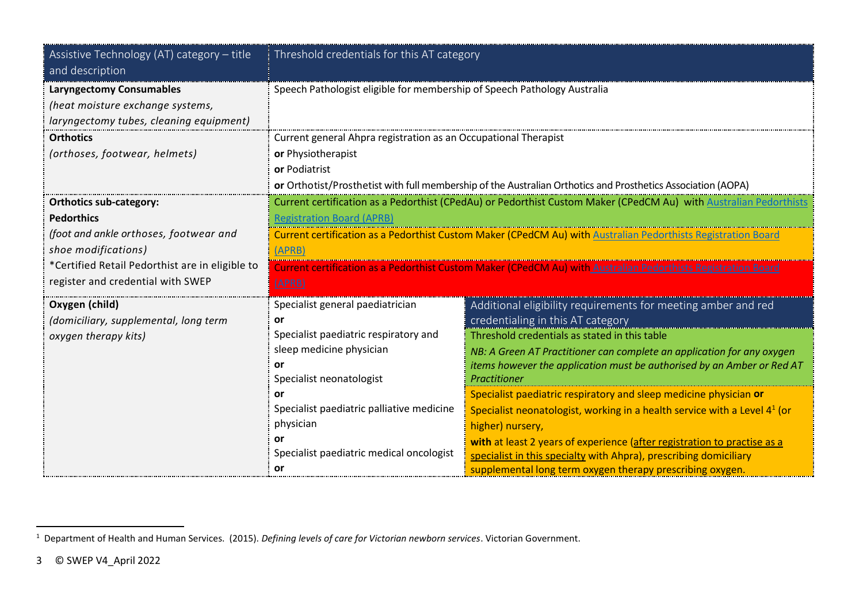| Assistive Technology (AT) category - title<br>and description                                                  | Threshold credentials for this AT category                                                                                                                                                                             |                                                                                                                                                  |
|----------------------------------------------------------------------------------------------------------------|------------------------------------------------------------------------------------------------------------------------------------------------------------------------------------------------------------------------|--------------------------------------------------------------------------------------------------------------------------------------------------|
| <b>Laryngectomy Consumables</b><br>(heat moisture exchange systems,<br>laryngectomy tubes, cleaning equipment) | Speech Pathologist eligible for membership of Speech Pathology Australia                                                                                                                                               |                                                                                                                                                  |
| <b>Orthotics</b><br>(orthoses, footwear, helmets)                                                              | Current general Ahpra registration as an Occupational Therapist<br>or Physiotherapist<br>or Podiatrist<br>or Orthotist/Prosthetist with full membership of the Australian Orthotics and Prosthetics Association (AOPA) |                                                                                                                                                  |
| <b>Orthotics sub-category:</b>                                                                                 |                                                                                                                                                                                                                        | Current certification as a Pedorthist (CPedAu) or Pedorthist Custom Maker (CPedCM Au) with Australian Pedorthists                                |
| <b>Pedorthics</b>                                                                                              | <b>Registration Board (APRB)</b>                                                                                                                                                                                       |                                                                                                                                                  |
| (foot and ankle orthoses, footwear and                                                                         |                                                                                                                                                                                                                        | Current certification as a Pedorthist Custom Maker (CPedCM Au) with Australian Pedorthists Registration Board                                    |
| shoe modifications)<br>*Certified Retail Pedorthist are in eligible to                                         | (APRB)                                                                                                                                                                                                                 |                                                                                                                                                  |
| register and credential with SWEP                                                                              | (APRB)                                                                                                                                                                                                                 | Current certification as a Pedorthist Custom Maker (CPedCM Au) with Australian Pedorthists Registration Board                                    |
| Oxygen (child)                                                                                                 | Specialist general paediatrician                                                                                                                                                                                       | Additional eligibility requirements for meeting amber and red                                                                                    |
| (domiciliary, supplemental, long term                                                                          | or                                                                                                                                                                                                                     | credentialing in this AT category                                                                                                                |
| oxygen therapy kits)                                                                                           | Specialist paediatric respiratory and                                                                                                                                                                                  | Threshold credentials as stated in this table                                                                                                    |
|                                                                                                                | sleep medicine physician                                                                                                                                                                                               | NB: A Green AT Practitioner can complete an application for any oxygen                                                                           |
|                                                                                                                | or                                                                                                                                                                                                                     | items however the application must be authorised by an Amber or Red AT                                                                           |
|                                                                                                                | Specialist neonatologist<br>or                                                                                                                                                                                         | Practitioner                                                                                                                                     |
|                                                                                                                | Specialist paediatric palliative medicine                                                                                                                                                                              | Specialist paediatric respiratory and sleep medicine physician or<br>Specialist neonatologist, working in a health service with a Level $41$ (or |
|                                                                                                                | physician                                                                                                                                                                                                              | higher) nursery,                                                                                                                                 |
|                                                                                                                | or                                                                                                                                                                                                                     | with at least 2 years of experience (after registration to practise as a                                                                         |
|                                                                                                                | Specialist paediatric medical oncologist                                                                                                                                                                               | specialist in this specialty with Ahpra), prescribing domiciliary                                                                                |
|                                                                                                                | or                                                                                                                                                                                                                     | supplemental long term oxygen therapy prescribing oxygen.                                                                                        |

 1 Department of Health and Human Services. (2015). *Defining levels of care for Victorian newborn services*. Victorian Government.

<sup>3 ©</sup> SWEP V4\_April 2022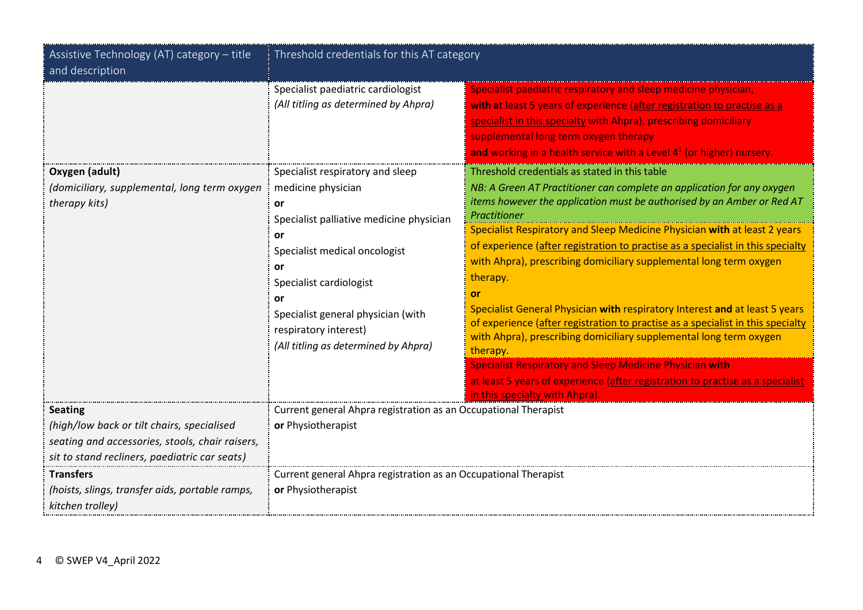| Assistive Technology (AT) category - title<br>and description                                                                                                    | Threshold credentials for this AT category                                                                                                                                                                                          |                                                                                                                                                                                                                                                                                                                                                                                                                                                                                                                                                                                                                                                                                                                                                                                           |
|------------------------------------------------------------------------------------------------------------------------------------------------------------------|-------------------------------------------------------------------------------------------------------------------------------------------------------------------------------------------------------------------------------------|-------------------------------------------------------------------------------------------------------------------------------------------------------------------------------------------------------------------------------------------------------------------------------------------------------------------------------------------------------------------------------------------------------------------------------------------------------------------------------------------------------------------------------------------------------------------------------------------------------------------------------------------------------------------------------------------------------------------------------------------------------------------------------------------|
| Oxygen (adult)                                                                                                                                                   | Specialist paediatric cardiologist<br>(All titling as determined by Ahpra)<br>Specialist respiratory and sleep<br>medicine physician                                                                                                | Specialist paediatric respiratory and sleep medicine physician,<br>with at least 5 years of experience (after registration to practise as a<br>specialist in this specialty with Ahpra), prescribing domiciliary<br>supplemental long term oxygen therapy<br>and working in a health service with a Level $41$ (or higher) nursery.<br>Threshold credentials as stated in this table<br>NB: A Green AT Practitioner can complete an application for any oxygen                                                                                                                                                                                                                                                                                                                            |
| (domiciliary, supplemental, long term oxygen<br>therapy kits)                                                                                                    | or<br>Specialist palliative medicine physician<br>or<br>Specialist medical oncologist<br>or<br>Specialist cardiologist<br>or<br>Specialist general physician (with<br>respiratory interest)<br>(All titling as determined by Ahpra) | items however the application must be authorised by an Amber or Red AT<br>Practitioner<br>Specialist Respiratory and Sleep Medicine Physician with at least 2 years<br>of experience (after registration to practise as a specialist in this specialty<br>with Ahpra), prescribing domiciliary supplemental long term oxygen<br>therapy.<br>or<br>Specialist General Physician with respiratory Interest and at least 5 years<br>of experience (after registration to practise as a specialist in this specialty<br>with Ahpra), prescribing domiciliary supplemental long term oxygen<br>therapy.<br><b>Specialist Respiratory and Sleep Medicine Physician with</b><br>at least 5 years of experience (after registration to practise as a specialist<br>in this specialty with Ahpra). |
| <b>Seating</b><br>(high/low back or tilt chairs, specialised<br>seating and accessories, stools, chair raisers,<br>sit to stand recliners, paediatric car seats) | Current general Ahpra registration as an Occupational Therapist<br>or Physiotherapist<br>Current general Ahpra registration as an Occupational Therapist<br>or Physiotherapist                                                      |                                                                                                                                                                                                                                                                                                                                                                                                                                                                                                                                                                                                                                                                                                                                                                                           |
| <b>Transfers</b><br>(hoists, slings, transfer aids, portable ramps,<br>kitchen trolley)                                                                          |                                                                                                                                                                                                                                     |                                                                                                                                                                                                                                                                                                                                                                                                                                                                                                                                                                                                                                                                                                                                                                                           |